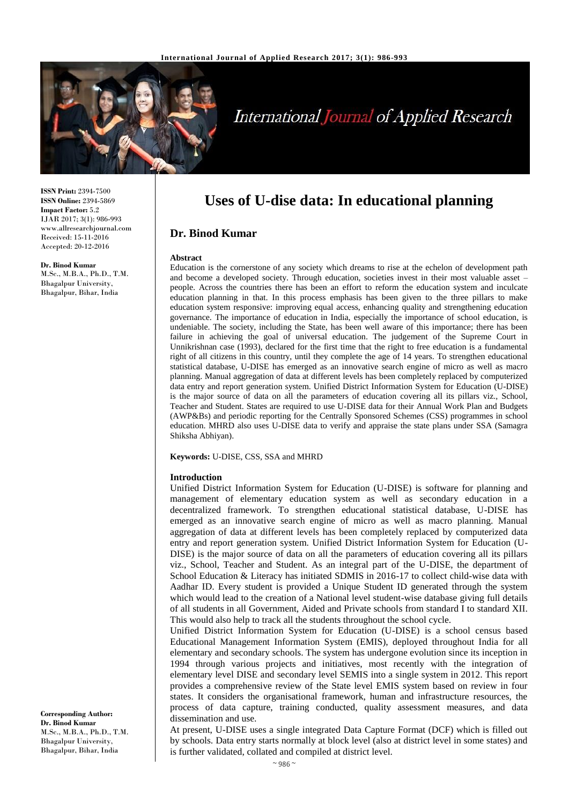

**ISSN Print:** 2394-7500 **ISSN Online:** 2394-5869 **Impact Factor:** 5.2 IJAR 2017; 3(1): 986-993 www.allresearchjournal.com Received: 15-11-2016 Accepted: 20-12-2016

#### **Dr. Binod Kumar**

M.Sc., M.B.A., Ph.D., T.M. Bhagalpur University, Bhagalpur, Bihar, India

**Uses of U-dise data: In educational planning**

## **Dr. Binod Kumar**

#### **Abstract**

Education is the cornerstone of any society which dreams to rise at the echelon of development path and become a developed society. Through education, societies invest in their most valuable asset – people. Across the countries there has been an effort to reform the education system and inculcate education planning in that. In this process emphasis has been given to the three pillars to make education system responsive: improving equal access, enhancing quality and strengthening education governance. The importance of education in India, especially the importance of school education, is undeniable. The society, including the State, has been well aware of this importance; there has been failure in achieving the goal of universal education. The judgement of the Supreme Court in Unnikrishnan case (1993), declared for the first time that the right to free education is a fundamental right of all citizens in this country, until they complete the age of 14 years. To strengthen educational statistical database, U-DISE has emerged as an innovative search engine of micro as well as macro planning. Manual aggregation of data at different levels has been completely replaced by computerized data entry and report generation system. Unified District Information System for Education (U-DISE) is the major source of data on all the parameters of education covering all its pillars viz., School, Teacher and Student. States are required to use U-DISE data for their Annual Work Plan and Budgets (AWP&Bs) and periodic reporting for the Centrally Sponsored Schemes (CSS) programmes in school education. MHRD also uses U-DISE data to verify and appraise the state plans under SSA (Samagra Shiksha Abhiyan).

**Keywords:** U-DISE, CSS, SSA and MHRD

#### **Introduction**

Unified District Information System for Education (U-DISE) is software for planning and management of elementary education system as well as secondary education in a decentralized framework. To strengthen educational statistical database, U-DISE has emerged as an innovative search engine of micro as well as macro planning. Manual aggregation of data at different levels has been completely replaced by computerized data entry and report generation system. Unified District Information System for Education (U-DISE) is the major source of data on all the parameters of education covering all its pillars viz., School, Teacher and Student. As an integral part of the U-DISE, the department of School Education & Literacy has initiated SDMIS in 2016-17 to collect child-wise data with Aadhar ID. Every student is provided a Unique Student ID generated through the system which would lead to the creation of a National level student-wise database giving full details of all students in all Government, Aided and Private schools from standard I to standard XII. This would also help to track all the students throughout the school cycle.

Unified District Information System for Education (U-DISE) is a school census based Educational Management Information System (EMIS), deployed throughout India for all elementary and secondary schools. The system has undergone evolution since its inception in 1994 through various projects and initiatives, most recently with the integration of elementary level DISE and secondary level SEMIS into a single system in 2012. This report provides a comprehensive review of the State level EMIS system based on review in four states. It considers the organisational framework, human and infrastructure resources, the process of data capture, training conducted, quality assessment measures, and data dissemination and use.

At present, U-DISE uses a single integrated Data Capture Format (DCF) which is filled out by schools. Data entry starts normally at block level (also at district level in some states) and is further validated, collated and compiled at district level.

**Corresponding Author: Dr. Binod Kumar** M.Sc., M.B.A., Ph.D., T.M. Bhagalpur University, Bhagalpur, Bihar, India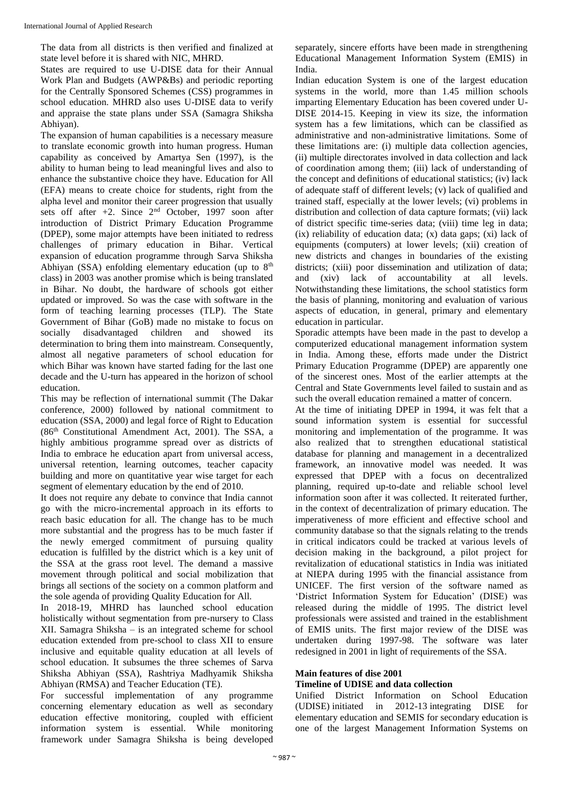The data from all districts is then verified and finalized at state level before it is shared with NIC, MHRD.

States are required to use U-DISE data for their Annual Work Plan and Budgets (AWP&Bs) and periodic reporting for the Centrally Sponsored Schemes (CSS) programmes in school education. MHRD also uses U-DISE data to verify and appraise the state plans under SSA (Samagra Shiksha Abhiyan).

The expansion of human capabilities is a necessary measure to translate economic growth into human progress. Human capability as conceived by Amartya Sen (1997), is the ability to human being to lead meaningful lives and also to enhance the substantive choice they have. Education for All (EFA) means to create choice for students, right from the alpha level and monitor their career progression that usually sets off after  $+2$ . Since  $2<sup>nd</sup>$  October, 1997 soon after introduction of District Primary Education Programme (DPEP), some major attempts have been initiated to redress challenges of primary education in Bihar. Vertical expansion of education programme through Sarva Shiksha Abhiyan (SSA) enfolding elementary education (up to  $8<sup>th</sup>$ class) in 2003 was another promise which is being translated in Bihar. No doubt, the hardware of schools got either updated or improved. So was the case with software in the form of teaching learning processes (TLP). The State Government of Bihar (GoB) made no mistake to focus on socially disadvantaged children and showed its determination to bring them into mainstream. Consequently, almost all negative parameters of school education for which Bihar was known have started fading for the last one decade and the U-turn has appeared in the horizon of school education.

This may be reflection of international summit (The Dakar conference, 2000) followed by national commitment to education (SSA, 2000) and legal force of Right to Education (86th Constitutional Amendment Act, 2001). The SSA, a highly ambitious programme spread over as districts of India to embrace he education apart from universal access, universal retention, learning outcomes, teacher capacity building and more on quantitative year wise target for each segment of elementary education by the end of 2010.

It does not require any debate to convince that India cannot go with the micro-incremental approach in its efforts to reach basic education for all. The change has to be much more substantial and the progress has to be much faster if the newly emerged commitment of pursuing quality education is fulfilled by the district which is a key unit of the SSA at the grass root level. The demand a massive movement through political and social mobilization that brings all sections of the society on a common platform and the sole agenda of providing Quality Education for All.

In 2018-19, MHRD has launched school education holistically without segmentation from pre-nursery to Class XII. Samagra Shiksha – is an integrated scheme for school education extended from pre-school to class XII to ensure inclusive and equitable quality education at all levels of school education. It subsumes the three schemes of Sarva Shiksha Abhiyan (SSA), Rashtriya Madhyamik Shiksha Abhiyan (RMSA) and Teacher Education (TE).

For successful implementation of any programme concerning elementary education as well as secondary education effective monitoring, coupled with efficient information system is essential. While monitoring framework under Samagra Shiksha is being developed

separately, sincere efforts have been made in strengthening Educational Management Information System (EMIS) in India.

Indian education System is one of the largest education systems in the world, more than 1.45 million schools imparting Elementary Education has been covered under U-DISE 2014-15. Keeping in view its size, the information system has a few limitations, which can be classified as administrative and non-administrative limitations. Some of these limitations are: (i) multiple data collection agencies, (ii) multiple directorates involved in data collection and lack of coordination among them; (iii) lack of understanding of the concept and definitions of educational statistics; (iv) lack of adequate staff of different levels; (v) lack of qualified and trained staff, especially at the lower levels; (vi) problems in distribution and collection of data capture formats; (vii) lack of district specific time-series data; (viii) time leg in data;  $(ix)$  reliability of education data;  $(x)$  data gaps;  $(xi)$  lack of equipments (computers) at lower levels; (xii) creation of new districts and changes in boundaries of the existing districts; (xiii) poor dissemination and utilization of data; and (xiv) lack of accountability at all levels. Notwithstanding these limitations, the school statistics form the basis of planning, monitoring and evaluation of various aspects of education, in general, primary and elementary education in particular.

Sporadic attempts have been made in the past to develop a computerized educational management information system in India. Among these, efforts made under the District Primary Education Programme (DPEP) are apparently one of the sincerest ones. Most of the earlier attempts at the Central and State Governments level failed to sustain and as such the overall education remained a matter of concern.

At the time of initiating DPEP in 1994, it was felt that a sound information system is essential for successful monitoring and implementation of the programme. It was also realized that to strengthen educational statistical database for planning and management in a decentralized framework, an innovative model was needed. It was expressed that DPEP with a focus on decentralized planning, required up-to-date and reliable school level information soon after it was collected. It reiterated further, in the context of decentralization of primary education. The imperativeness of more efficient and effective school and community database so that the signals relating to the trends in critical indicators could be tracked at various levels of decision making in the background, a pilot project for revitalization of educational statistics in India was initiated at NIEPA during 1995 with the financial assistance from UNICEF. The first version of the software named as 'District Information System for Education' (DISE) was released during the middle of 1995. The district level professionals were assisted and trained in the establishment of EMIS units. The first major review of the DISE was undertaken during 1997-98. The software was later redesigned in 2001 in light of requirements of the SSA.

# **Main features of dise 2001**

# **Timeline of UDISE and data collection**

Unified District Information on School Education (UDISE) initiated in 2012-13 integrating DISE for elementary education and SEMIS for secondary education is one of the largest Management Information Systems on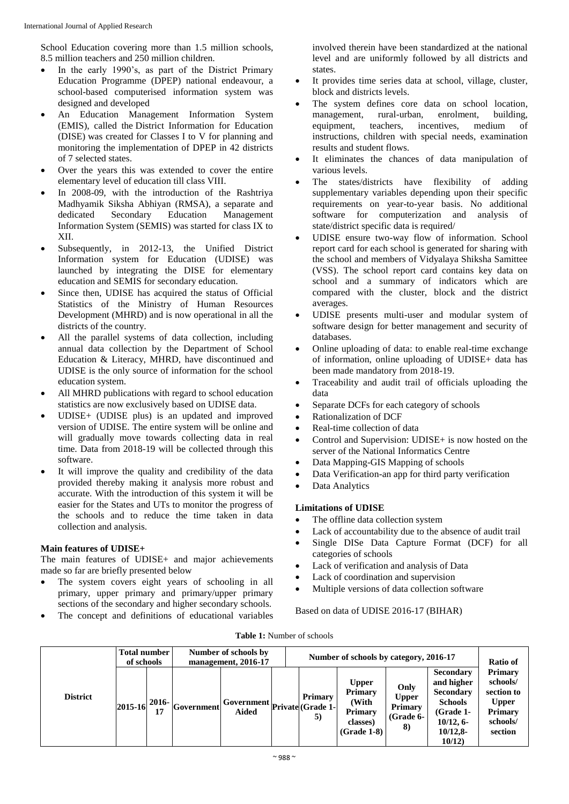School Education covering more than 1.5 million schools, 8.5 million teachers and 250 million children.

- In the early 1990's, as part of the District Primary Education Programme (DPEP) national endeavour, a school-based computerised information system was designed and developed
- An Education Management Information System (EMIS), called the District Information for Education (DISE) was created for Classes I to V for planning and monitoring the implementation of DPEP in 42 districts of 7 selected states.
- Over the years this was extended to cover the entire elementary level of education till class VIII.
- In 2008-09, with the introduction of the Rashtriya Madhyamik Siksha Abhiyan (RMSA), a separate and dedicated Secondary Education Management Information System (SEMIS) was started for class IX to XII.
- Subsequently, in 2012-13, the Unified District Information system for Education (UDISE) was launched by integrating the DISE for elementary education and SEMIS for secondary education.
- Since then, UDISE has acquired the status of Official Statistics of the Ministry of Human Resources Development (MHRD) and is now operational in all the districts of the country.
- All the parallel systems of data collection, including annual data collection by the Department of School Education & Literacy, MHRD, have discontinued and UDISE is the only source of information for the school education system.
- All MHRD publications with regard to school education statistics are now exclusively based on UDISE data.
- UDISE+ (UDISE plus) is an updated and improved version of UDISE. The entire system will be online and will gradually move towards collecting data in real time. Data from 2018-19 will be collected through this software.
- It will improve the quality and credibility of the data provided thereby making it analysis more robust and accurate. With the introduction of this system it will be easier for the States and UTs to monitor the progress of the schools and to reduce the time taken in data collection and analysis.

## **Main features of UDISE+**

The main features of UDISE+ and major achievements made so far are briefly presented below

- The system covers eight years of schooling in all primary, upper primary and primary/upper primary sections of the secondary and higher secondary schools.
- The concept and definitions of educational variables

involved therein have been standardized at the national level and are uniformly followed by all districts and states.

- It provides time series data at school, village, cluster, block and districts levels.
- The system defines core data on school location, management, rural-urban, enrolment, building, equipment, teachers, incentives, medium of instructions, children with special needs, examination results and student flows.
- It eliminates the chances of data manipulation of various levels.
- The states/districts have flexibility of adding supplementary variables depending upon their specific requirements on year-to-year basis. No additional software for computerization and analysis of state/district specific data is required/
- UDISE ensure two-way flow of information. School report card for each school is generated for sharing with the school and members of Vidyalaya Shiksha Samittee (VSS). The school report card contains key data on school and a summary of indicators which are compared with the cluster, block and the district averages.
- UDISE presents multi-user and modular system of software design for better management and security of databases.
- Online uploading of data: to enable real-time exchange of information, online uploading of UDISE+ data has been made mandatory from 2018-19.
- Traceability and audit trail of officials uploading the data
- Separate DCFs for each category of schools
- Rationalization of DCF
- Real-time collection of data
- Control and Supervision: UDISE+ is now hosted on the server of the National Informatics Centre
- Data Mapping-GIS Mapping of schools
- Data Verification-an app for third party verification
- Data Analytics

# **Limitations of UDISE**

- The offline data collection system
- Lack of accountability due to the absence of audit trail
- Single DISe Data Capture Format (DCF) for all categories of schools
- Lack of verification and analysis of Data
- Lack of coordination and supervision
- Multiple versions of data collection software

Based on data of UDISE 2016-17 (BIHAR)

**Table 1:** Number of schools

|                 | <b>Total number</b><br>of schools |               | Number of schools by<br>management, 2016-17 |                                           |  | Number of schools by category, 2016-17 |                                                                                 |                                                           |                                                                                                                                  |                                                                                     |  |  |
|-----------------|-----------------------------------|---------------|---------------------------------------------|-------------------------------------------|--|----------------------------------------|---------------------------------------------------------------------------------|-----------------------------------------------------------|----------------------------------------------------------------------------------------------------------------------------------|-------------------------------------------------------------------------------------|--|--|
| <b>District</b> | 2015-16                           | $2016-$<br>17 | <b>Government</b>                           | --- Government private (Grade 1-<br>Aided |  | Primary<br>5)                          | <b>Upper</b><br><b>Primary</b><br>(With<br>Primary<br>classes)<br>$(Grade 1-8)$ | Only<br><b>Upper</b><br><b>Primary</b><br>(Grade 6-<br>8) | <b>Secondary</b><br>and higher<br><b>Secondary</b><br><b>Schools</b><br>(Grade <sub>1</sub><br>10/12, 6<br>$10/12,8$ -<br>10/12) | Primary<br>schools/<br>section to<br><b>Upper</b><br>Primary<br>schools/<br>section |  |  |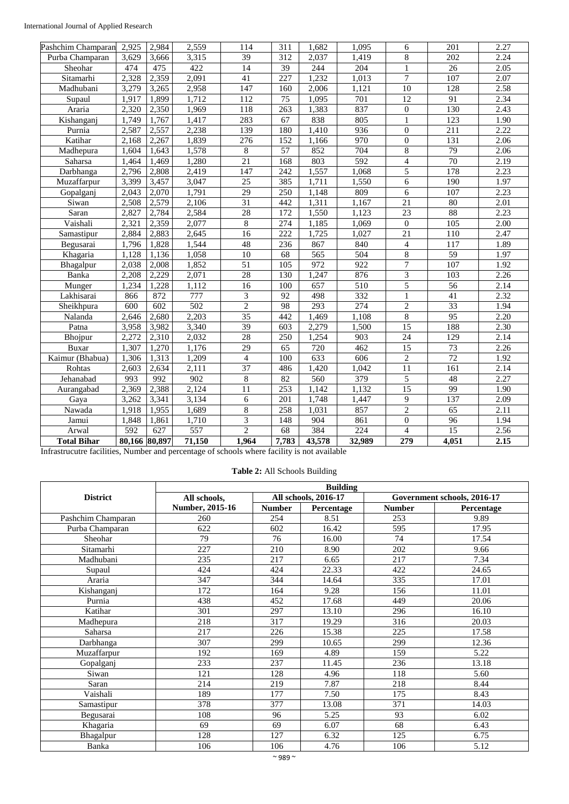| Pashchim Champaran | 2,925         | 2,984 | 2,559            | 114                     | 311              | 1,682  | 1,095            | 6                | 201              | 2.27 |
|--------------------|---------------|-------|------------------|-------------------------|------------------|--------|------------------|------------------|------------------|------|
| Purba Champaran    | 3,629         | 3,666 | 3,315            | $\overline{39}$         | $\overline{312}$ | 2,037  | 1,419            | 8                | $\overline{202}$ | 2.24 |
| Sheohar            | 474           | 475   | 422              | 14                      | $\overline{39}$  | 244    | 204              | $\mathbf{1}$     | 26               | 2.05 |
| Sitamarhi          | 2,328         | 2,359 | 2,091            | 41                      | 227              | 1,232  | 1,013            | 7                | 107              | 2.07 |
| Madhubani          | 3,279         | 3,265 | 2,958            | 147                     | 160              | 2,006  | 1,121            | 10               | 128              | 2.58 |
| Supaul             | 1,917         | 1,899 | 1,712            | 112                     | $\overline{75}$  | 1,095  | 701              | 12               | 91               | 2.34 |
| Araria             | 2,320         | 2,350 | 1,969            | 118                     | 263              | 1,383  | 837              | $\boldsymbol{0}$ | 130              | 2.43 |
| Kishanganj         | 1,749         | 1,767 | 1,417            | 283                     | 67               | 838    | 805              | $\mathbf{1}$     | 123              | 1.90 |
| Purnia             | 2,587         | 2,557 | 2,238            | 139                     | 180              | 1,410  | 936              | $\boldsymbol{0}$ | $\overline{211}$ | 2.22 |
| Katihar            | 2,168         | 2,267 | 1,839            | 276                     | 152              | 1,166  | 970              | $\boldsymbol{0}$ | 131              | 2.06 |
| Madhepura          | 1,604         | 1,643 | 1,578            | $\,8\,$                 | $\overline{57}$  | 852    | 704              | 8                | $\overline{79}$  | 2.06 |
| Saharsa            | 1,464         | 1,469 | 1,280            | 21                      | 168              | 803    | $\overline{592}$ | $\overline{4}$   | $\overline{70}$  | 2.19 |
| Darbhanga          | 2,796         | 2,808 | 2,419            | 147                     | 242              | 1,557  | 1,068            | 5                | 178              | 2.23 |
| Muzaffarpur        | 3,399         | 3,457 | 3,047            | 25                      | 385              | 1,711  | 1,550            | 6                | 190              | 1.97 |
| Gopalganj          | 2,043         | 2,070 | 1,791            | 29                      | $\overline{250}$ | 1,148  | 809              | $\sqrt{6}$       | 107              | 2.23 |
| Siwan              | 2,508         | 2,579 | 2,106            | 31                      | 442              | 1,311  | 1,167            | $\overline{21}$  | 80               | 2.01 |
| Saran              | 2,827         | 2,784 | 2,584            | 28                      | $\overline{172}$ | 1,550  | 1,123            | $\overline{23}$  | 88               | 2.23 |
| Vaishali           | 2,321         | 2,359 | 2,077            | $\overline{8}$          | 274              | 1,185  | 1,069            | $\boldsymbol{0}$ | 105              | 2.00 |
| Samastipur         | 2,884         | 2,883 | 2,645            | $\overline{16}$         | 222              | 1,725  | 1,027            | $\overline{21}$  | 110              | 2.47 |
| Begusarai          | 1,796         | 1,828 | 1,544            | 48                      | 236              | 867    | 840              | $\overline{4}$   | $\overline{117}$ | 1.89 |
| Khagaria           | 1,128         | 1,136 | 1,058            | 10                      | $\overline{68}$  | 565    | 504              | $\overline{8}$   | $\overline{59}$  | 1.97 |
| Bhagalpur          | 2,038         | 2,008 | 1,852            | $\overline{51}$         | $\overline{105}$ | 972    | 922              | $\overline{7}$   | $\overline{107}$ | 1.92 |
| Banka              | 2,208         | 2,229 | 2,071            | 28                      | 130              | 1,247  | 876              | $\overline{3}$   | 103              | 2.26 |
| Munger             | 1,234         | 1,228 | 1,112            | 16                      | 100              | 657    | 510              | $\overline{5}$   | $\overline{56}$  | 2.14 |
| Lakhisarai         | 866           | 872   | 777              | $\overline{3}$          | 92               | 498    | 332              | $\mathbf{1}$     | 41               | 2.32 |
| Sheikhpura         | 600           | 602   | $\overline{502}$ | $\overline{c}$          | 98               | 293    | $\overline{274}$ | $\overline{c}$   | $\overline{33}$  | 1.94 |
| Nalanda            | 2,646         | 2,680 | 2,203            | $\overline{35}$         | 442              | 1,469  | 1,108            | $\overline{8}$   | 95               | 2.20 |
| Patna              | 3,958         | 3,982 | 3,340            | $\overline{39}$         | 603              | 2,279  | 1,500            | $\overline{15}$  | 188              | 2.30 |
| Bhojpur            | 2,272         | 2,310 | 2,032            | 28                      | 250              | 1,254  | 903              | 24               | 129              | 2.14 |
| Buxar              | 1,307         | 1,270 | 1,176            | 29                      | 65               | 720    | 462              | 15               | 73               | 2.26 |
| Kaimur (Bhabua)    | 1,306         | 1,313 | 1,209            | $\overline{4}$          | 100              | 633    | 606              | $\sqrt{2}$       | 72               | 1.92 |
| Rohtas             | 2,603         | 2,634 | 2,111            | 37                      | 486              | 1,420  | 1,042            | $\overline{11}$  | 161              | 2.14 |
| Jehanabad          | 993           | 992   | 902              | $\overline{8}$          | 82               | 560    | 379              | $\sqrt{5}$       | 48               | 2.27 |
| Aurangabad         | 2,369         | 2,388 | 2,124            | $\overline{11}$         | 253              | 1,142  | 1,132            | $\overline{15}$  | 99               | 1.90 |
| Gaya               | 3,262         | 3,341 | 3,134            | 6                       | 201              | 1,748  | 1,447            | 9                | 137              | 2.09 |
| Nawada             | 1,918         | 1,955 | 1,689            | $\,8\,$                 | 258              | 1,031  | 857              | $\overline{2}$   | $\overline{65}$  | 2.11 |
| Jamui              | 1,848         | 1,861 | 1,710            | $\overline{\mathbf{3}}$ | 148              | 904    | 861              | $\boldsymbol{0}$ | $\overline{96}$  | 1.94 |
| Arwal              | 592           | 627   | 557              | $\overline{2}$          | 68               | 384    | 224              | $\overline{4}$   | 15               | 2.56 |
| <b>Total Bihar</b> | 80,166 80,897 |       | 71,150           | 1,964                   | 7,783            | 43,578 | 32,989           | 279              | 4,051            | 2.15 |

Infrastrucutre facilities, Number and percentage of schools where facility is not available

| Table 2: All Schools Building |  |
|-------------------------------|--|
|-------------------------------|--|

|                    | <b>Building</b> |               |                      |               |                             |  |  |  |  |  |  |
|--------------------|-----------------|---------------|----------------------|---------------|-----------------------------|--|--|--|--|--|--|
| <b>District</b>    | All schools,    |               | All schools, 2016-17 |               | Government schools, 2016-17 |  |  |  |  |  |  |
|                    | Number, 2015-16 | <b>Number</b> | Percentage           | <b>Number</b> | Percentage                  |  |  |  |  |  |  |
| Pashchim Champaran | 260             | 254           | 8.51                 | 253           | 9.89                        |  |  |  |  |  |  |
| Purba Champaran    | 622             | 602           | 16.42                | 595           | 17.95                       |  |  |  |  |  |  |
| Sheohar            | 79              | 76            | 16.00                | 74            | 17.54                       |  |  |  |  |  |  |
| Sitamarhi          | 227             | 210           | 8.90                 | 202           | 9.66                        |  |  |  |  |  |  |
| Madhubani          | 235             | 217           | 6.65                 | 217           | 7.34                        |  |  |  |  |  |  |
| Supaul             | 424             | 424           | 22.33                | 422           | 24.65                       |  |  |  |  |  |  |
| Araria             | 347             | 344           | 14.64                | 335           | 17.01                       |  |  |  |  |  |  |
| Kishanganj         | 172             | 164           | 9.28                 | 156           | 11.01                       |  |  |  |  |  |  |
| Purnia             | 438             | 452           | 17.68                | 449           | 20.06                       |  |  |  |  |  |  |
| Katihar            | 301             | 297           | 13.10                | 296           | 16.10                       |  |  |  |  |  |  |
| Madhepura          | 218             | 317           | 19.29                | 316           | 20.03                       |  |  |  |  |  |  |
| Saharsa            | 217             | 226           | 15.38                | 225           | 17.58                       |  |  |  |  |  |  |
| Darbhanga          | 307             | 299           | 10.65                | 299           | 12.36                       |  |  |  |  |  |  |
| Muzaffarpur        | 192             | 169           | 4.89                 | 159           | 5.22                        |  |  |  |  |  |  |
| Gopalganj          | 233             | 237           | 11.45                | 236           | 13.18                       |  |  |  |  |  |  |
| Siwan              | 121             | 128           | 4.96                 | 118           | 5.60                        |  |  |  |  |  |  |
| Saran              | 214             | 219           | 7.87                 | 218           | 8.44                        |  |  |  |  |  |  |
| Vaishali           | 189             | 177           | 7.50                 | 175           | 8.43                        |  |  |  |  |  |  |
| Samastipur         | 378             | 377           | 13.08                | 371           | 14.03                       |  |  |  |  |  |  |
| Begusarai          | 108             | 96            | 5.25                 | 93            | 6.02                        |  |  |  |  |  |  |
| Khagaria           | 69              | 69            | 6.07                 | 68            | 6.43                        |  |  |  |  |  |  |
| Bhagalpur          | 128             | 127           | 6.32                 | 125           | 6.75                        |  |  |  |  |  |  |
| Banka              | 106             | 106           | 4.76                 | 106           | 5.12                        |  |  |  |  |  |  |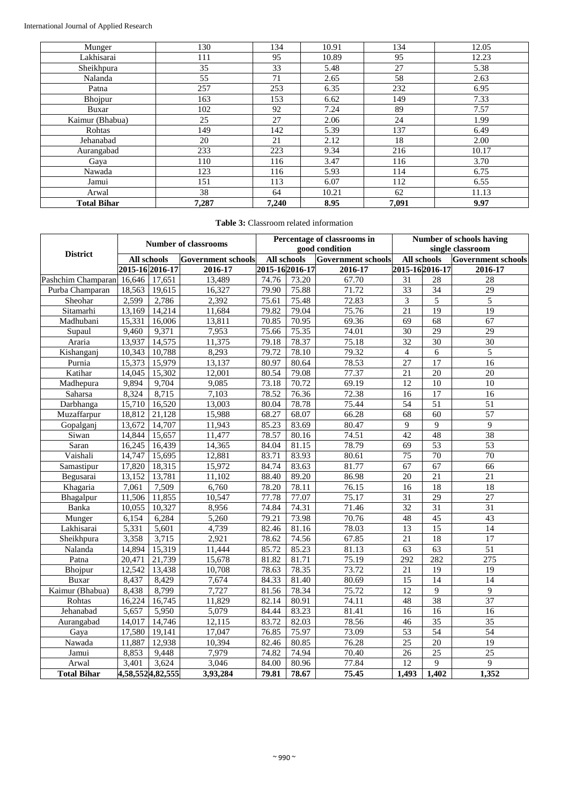| Munger             | 130   | 134   | 10.91 | 134   | 12.05 |
|--------------------|-------|-------|-------|-------|-------|
| Lakhisarai         | 111   | 95    | 10.89 | 95    | 12.23 |
| Sheikhpura         | 35    | 33    | 5.48  | 27    | 5.38  |
| Nalanda            | 55    | 71    | 2.65  | 58    | 2.63  |
| Patna              | 257   | 253   | 6.35  | 232   | 6.95  |
| Bhojpur            | 163   | 153   | 6.62  | 149   | 7.33  |
| Buxar              | 102   | 92    | 7.24  | 89    | 7.57  |
| Kaimur (Bhabua)    | 25    | 27    | 2.06  | 24    | 1.99  |
| Rohtas             | 149   | 142   | 5.39  | 137   | 6.49  |
| Jehanabad          | 20    | 21    | 2.12  | 18    | 2.00  |
| Aurangabad         | 233   | 223   | 9.34  | 216   | 10.17 |
| Gaya               | 110   | 116   | 3.47  | 116   | 3.70  |
| Nawada             | 123   | 116   | 5.93  | 114   | 6.75  |
| Jamui              | 151   | 113   | 6.07  | 112   | 6.55  |
| Arwal              | 38    | 64    | 10.21 | 62    | 11.13 |
| <b>Total Bihar</b> | 7,287 | 7,240 | 8.95  | 7,091 | 9.97  |

# **Table 3:** Classroom related information

|                    |                    | <b>Number of classrooms</b> |                           |                 | Percentage of classrooms in<br>good condition | <b>Number of schools having</b><br>single classroom |                          |                 |                    |
|--------------------|--------------------|-----------------------------|---------------------------|-----------------|-----------------------------------------------|-----------------------------------------------------|--------------------------|-----------------|--------------------|
| <b>District</b>    | <b>All schools</b> |                             | <b>Government schools</b> | All schools     |                                               | <b>Government</b> schools                           | All schools              |                 | Government schools |
|                    | 2015-16 2016-17    |                             | 2016-17                   | 2015-16 2016-17 |                                               | 2016-17                                             | 2015-162016-17           |                 | 2016-17            |
| Pashchim Champaran | 16,646             | 17,651                      | 13,489                    | 74.76           | 73.20                                         | 67.70                                               | 31                       | 28              | 28                 |
| Purba Champaran    | 18,563             | 19,615                      | 16,327                    | 79.90           | 75.88                                         | 71.72                                               | 33                       | $\overline{34}$ | $\overline{29}$    |
| Sheohar            | 2,599              | 2,786                       | 2,392                     | 75.61           | 75.48                                         | 72.83                                               | 3                        | 5               | 5                  |
| Sitamarhi          | 13,169             | 14,214                      | 11,684                    | 79.82           | 79.04                                         | 75.76                                               | 21                       | 19              | 19                 |
| Madhubani          | 15,331             | 16,006                      | 13,811                    | 70.85           | 70.95                                         | 69.36                                               | $\overline{69}$          | 68              | 67                 |
| Supaul             | 9,460              | 9,371                       | 7,953                     | 75.66           | 75.35                                         | 74.01                                               | $\overline{30}$          | 29              | 29                 |
| Araria             | 13,937             | 14,575                      | 11,375                    | 79.18           | 78.37                                         | 75.18                                               | 32                       | 30              | $\overline{30}$    |
| Kishanganj         | 10,343             | 10,788                      | 8,293                     | 79.72           | 78.10                                         | 79.32                                               | $\overline{\mathcal{L}}$ | $\overline{6}$  | $\overline{5}$     |
| Purnia             | 15,373             | 15,979                      | 13,137                    | 80.97           | 80.64                                         | 78.53                                               | $\overline{27}$          | 17              | $\overline{16}$    |
| Katihar            | 14,045             | 15,302                      | 12,001                    | 80.54           | 79.08                                         | 77.37                                               | $\overline{21}$          | 20              | 20                 |
| Madhepura          | 9,894              | 9,704                       | 9,085                     | 73.18           | 70.72                                         | 69.19                                               | 12                       | 10              | 10                 |
| Saharsa            | 8,324              | 8,715                       | 7,103                     | 78.52           | 76.36                                         | 72.38                                               | 16                       | 17              | 16                 |
| Darbhanga          | 15,710             | 16,520                      | 13,003                    | 80.04           | 78.78                                         | 75.44                                               | 54                       | $\overline{51}$ | 51                 |
| Muzaffarpur        | 18,812             | 21,128                      | 15,988                    | 68.27           | 68.07                                         | 66.28                                               | $\overline{68}$          | $\overline{60}$ | 57                 |
| Gopalgani          | 13,672             | 14,707                      | 11,943                    | 85.23           | 83.69                                         | 80.47                                               | 9                        | $\overline{9}$  | $\overline{9}$     |
| Siwan              | 14,844             | 15,657                      | 11,477                    | 78.57           | 80.16                                         | 74.51                                               | 42                       | 48              | 38                 |
| Saran              | 16,245             | 16,439                      | 14,365                    | 84.04           | 81.15                                         | 78.79                                               | $\overline{69}$          | $\overline{53}$ | $\overline{53}$    |
| Vaishali           | 14,747             | 15,695                      | 12,881                    | 83.71           | 83.93                                         | 80.61                                               | $\overline{75}$          | 70              | $\overline{70}$    |
| Samastipur         | 17,820             | 18,315                      | 15,972                    | 84.74           | 83.63                                         | 81.77                                               | $\overline{67}$          | $\overline{67}$ | 66                 |
| Begusarai          | 13,152             | 13,781                      | 11,102                    | 88.40           | 89.20                                         | 86.98                                               | 20                       | $\overline{21}$ | $\overline{21}$    |
| Khagaria           | 7,061              | 7,509                       | 6,760                     | 78.20           | 78.11                                         | 76.15                                               | 16                       | $\overline{18}$ | $\overline{18}$    |
| Bhagalpur          | 11,506             | 11,855                      | 10,547                    | 77.78           | 77.07                                         | 75.17                                               | $\overline{31}$          | 29              | $\overline{27}$    |
| Banka              | 10,055             | 10,327                      | 8,956                     | 74.84           | 74.31                                         | 71.46                                               | 32                       | $\overline{31}$ | 31                 |
| Munger             | 6,154              | 6,284                       | 5,260                     | 79.21           | 73.98                                         | 70.76                                               | 48                       | 45              | 43                 |
| Lakhisarai         | 5,331              | 5,601                       | 4,739                     | 82.46           | 81.16                                         | 78.03                                               | 13                       | $\overline{15}$ | 14                 |
| Sheikhpura         | 3,358              | 3,715                       | 2,921                     | 78.62           | 74.56                                         | 67.85                                               | 21                       | 18              | 17                 |
| Nalanda            | 14,894             | 15,319                      | 11,444                    | 85.72           | 85.23                                         | 81.13                                               | 63                       | 63              | 51                 |
| Patna              | 20,471             | 21,739                      | 15,678                    | 81.82           | 81.71                                         | 75.19                                               | 292                      | 282             | 275                |
| Bhojpur            | 12,542             | 13,438                      | 10,708                    | 78.63           | 78.35                                         | 73.72                                               | 21                       | 19              | 19                 |
| Buxar              | 8,437              | 8,429                       | 7,674                     | 84.33           | 81.40                                         | 80.69                                               | 15                       | 14              | 14                 |
| Kaimur (Bhabua)    | 8,438              | 8,799                       | 7,727                     | 81.56           | 78.34                                         | 75.72                                               | $\overline{12}$          | 9               | $\overline{9}$     |
| Rohtas             | 16,224             | 16,745                      | 11,829                    | 82.14           | 80.91                                         | 74.11                                               | 48                       | 38              | 37                 |
| Jehanabad          | 5,657              | 5,950                       | 5,079                     | 84.44           | 83.23                                         | 81.41                                               | 16                       | 16              | 16                 |
| Aurangabad         | 14,017             | 14,746                      | 12,115                    | 83.72           | 82.03                                         | 78.56                                               | 46                       | 35              | 35                 |
| Gaya               | 17,580             | 19,141                      | 17,047                    | 76.85           | 75.97                                         | 73.09                                               | $\overline{53}$          | 54              | $\overline{54}$    |
| Nawada             | 11,887             | 12,938                      | 10,394                    | 82.46           | 80.85                                         | 76.28                                               | $\overline{25}$          | $\overline{20}$ | $\overline{19}$    |
| Jamui              | 8,853              | 9,448                       | 7,979                     | 74.82           | 74.94                                         | 70.40                                               | 26                       | $\overline{25}$ | $\overline{25}$    |
| Arwal              | 3,401              | 3,624                       | 3,046                     | 84.00           | 80.96                                         | 77.84                                               | 12                       | 9               | 9                  |
| <b>Total Bihar</b> | 4,58,5524,82,555   |                             | 3,93,284                  | 79.81           | 78.67                                         | 75.45                                               | 1,493                    | 1,402           | 1,352              |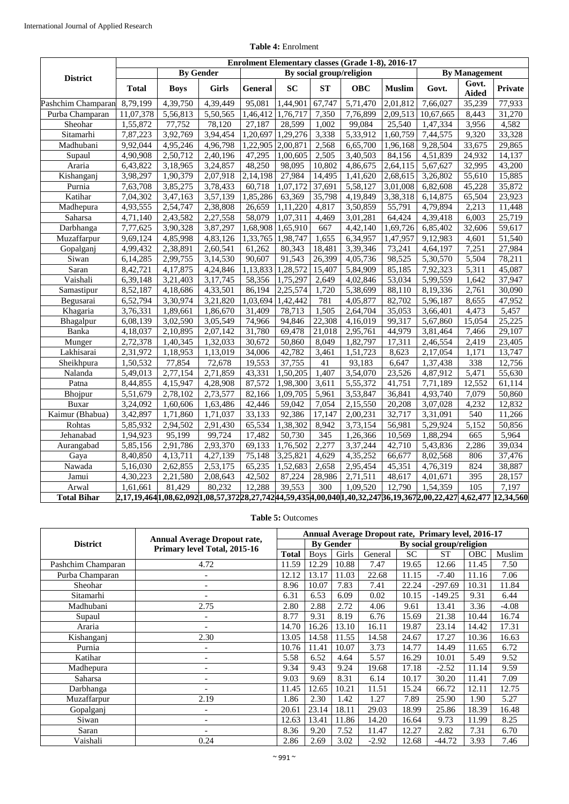|                    |              |                                                                                                              |                       |          |           |                    | Enrolment Elementary classes (Grade 1-8), 2016-17 |               |                       |                       |                |  |
|--------------------|--------------|--------------------------------------------------------------------------------------------------------------|-----------------------|----------|-----------|--------------------|---------------------------------------------------|---------------|-----------------------|-----------------------|----------------|--|
| <b>District</b>    |              | <b>By Gender</b>                                                                                             |                       |          |           |                    | By social group/religion                          |               | <b>By Management</b>  |                       |                |  |
|                    | <b>Total</b> | <b>Boys</b>                                                                                                  | <b>Girls</b>          | General  | <b>SC</b> | ST                 | <b>OBC</b>                                        | <b>Muslim</b> | Govt.                 | Govt.<br><b>Aided</b> | <b>Private</b> |  |
| Pashchim Champaran | 8,79,199     | 4,39,750                                                                                                     | 4,39,449              | 95,081   | 1,44,901  | 67,747             | 5,71,470                                          | 2,01,812      | 7,66,027              | 35,239                | 77,933         |  |
| Purba Champaran    | 11,07,378    | 5,56,813                                                                                                     | 5,50,565              | 1,46,412 | 1,76,717  | 7,350              | 7,76,899                                          | 2,09,513      | 10,67,665             | 8,443                 | 31,270         |  |
| Sheohar            | 1,55,872     | 77,752                                                                                                       | $\overline{78,120}$   | 27,187   | 28,599    | 1,002              | 99,084                                            | 25,540        | $\overline{1,}47,334$ | 3,956                 | 4,582          |  |
| Sitamarhi          | 7,87,223     | 3,92,769                                                                                                     | 3,94,454              | 1,20,697 | 1,29,276  | 3,338              | 5,33,912                                          | 1,60,759      | 7,44,575              | 9,320                 | 33,328         |  |
| Madhubani          | 9,92,044     | 4,95,246                                                                                                     | 4,96,798              | 1,22,905 | 2,00,871  | 2,568              | 6,65,700                                          | 1,96,168      | 9,28,504              | 33,675                | 29,865         |  |
| Supaul             | 4,90,908     | 2,50,712                                                                                                     | 2,40,196              | 47,295   | 1,00,605  | 2,505              | 3,40,503                                          | 84,156        | 4,51,839              | 24,932                | 14,137         |  |
| Araria             | 6,43,822     | 3,18,965                                                                                                     | 3,24,857              | 48,250   | 98,095    | 10,802             | 4,86,675                                          | 2,64,115      | 5,67,627              | 32,995                | 43,200         |  |
| Kishanganj         | 3,98,297     | 1,90,379                                                                                                     | 2,07,918              | 2,14,198 | 27,984    | 14,495             | 1,41,620                                          | 2,68,615      | 3,26,802              | 55,610                | 15,885         |  |
| Purnia             | 7,63,708     | 3,85,275                                                                                                     | 3,78,433              | 60,718   | 1,07,172  | 37,691             | 5,58,127                                          | 3,01,008      | 6,82,608              | 45,228                | 35,872         |  |
| Katihar            | 7,04,302     | 3,47,163                                                                                                     | 3,57,139              | 1,85,286 | 63,369    | 35,798             | 4,19,849                                          | 3,38,318      | 6,14,875              | 65,504                | 23,923         |  |
| Madhepura          | 4,93,555     | 2,54,747                                                                                                     | 2,38,808              | 26,659   | 1,11,220  | 4,817              | 3,50,859                                          | 55,791        | 4,79,894              | 2,213                 | 11,448         |  |
| Saharsa            | 4,71,140     | 2,43,582                                                                                                     | 2,27,558              | 58,079   | 1,07,311  | 4,469              | 3,01,281                                          | 64,424        | 4,39,418              | 6,003                 | 25,719         |  |
| Darbhanga          | 7,77,625     | 3,90,328                                                                                                     | 3,87,297              | 1,68,908 | 1,65,910  | 667                | 4,42,140                                          | 1,69,726      | 6,85,402              | 32,606                | 59,617         |  |
| Muzaffarpur        | 9,69,124     | 4,85,998                                                                                                     | 4,83,126              | 1,33,765 | 1,98,747  | 1,655              | 6,34,957                                          | 1,47,957      | 9,12,983              | 4,601                 | 51,540         |  |
| Gopalganj          | 4,99,432     | 2,38,891                                                                                                     | 2,60,541              | 61,262   | 80,343    | 18,481             | 3,39,346                                          | 73,241        | 4,64,197              | 7,251                 | 27,984         |  |
| Siwan              | 6,14,285     | 2,99,755                                                                                                     | 3,14,530              | 90,607   | 91,543    | 26,399             | 4,05,736                                          | 98,525        | 5,30,570              | 5,504                 | 78,211         |  |
| Saran              | 8,42,721     | 4,17,875                                                                                                     | 4,24,846              | 1,13,833 | 1,28,572  | 15,407             | 5,84,909                                          | 85,185        | 7,92,323              | 5,311                 | 45,087         |  |
| Vaishali           | 6,39,148     | 3,21,403                                                                                                     | 3,17,745              | 58,356   | 1,75,297  | 2,649              | 4,02,846                                          | 53,034        | 5,99,559              | 1,642                 | 37,947         |  |
| Samastipur         | 8,52,187     | 4,18,686                                                                                                     | 4,33,501              | 86,194   | 2,25,574  | 1,720              | 5,38,699                                          | 88,110        | 8,19,336              | 2,761                 | 30,090         |  |
| Begusarai          | 6,52,794     | 3,30,974                                                                                                     | 3,21,820              | 1,03,694 | 1,42,442  | 781                | 4,05,877                                          | 82,702        | 5,96,187              | 8,655                 | 47,952         |  |
| Khagaria           | 3,76,331     | $\overline{1,89,661}$                                                                                        | 1,86,670              | 31,409   | 78,713    | 1,505              | 2,64,704                                          | 35,053        | 3,66,401              | 4,473                 | 5,457          |  |
| Bhagalpur          | 6,08,139     | 3,02,590                                                                                                     | 3,05,549              | 74,966   | 94,846    | 22,308             | 4,16,019                                          | 99,317        | 5,67,860              | 15,054                | 25,225         |  |
| Banka              | 4,18,037     | 2,10,895                                                                                                     | 2,07,142              | 31,780   | 69,478    | 21,018             | 2,95,761                                          | 44,979        | 3,81,464              | 7,466                 | 29,107         |  |
| Munger             | 2,72,378     | 1,40,345                                                                                                     | 1,32,033              | 30,672   | 50,860    | 8,049              | 1,82,797                                          | 17,311        | 2,46,554              | 2,419                 | 23,405         |  |
| Lakhisarai         | 2,31,972     | 1,18,953                                                                                                     | 1,13,019              | 34,006   | 42,782    | $\overline{3,}461$ | 1,51,723                                          | 8,623         | 2,17,054              | 1,171                 | 13,747         |  |
| Sheikhpura         | 1,50,532     | 77,854                                                                                                       | 72,678                | 19,553   | 37,755    | 41                 | 93,183                                            | 6,647         | 1,37,438              | 338                   | 12,756         |  |
| Nalanda            | 5,49,013     | 2,77,154                                                                                                     | 2,71,859              | 43,331   | 1,50,205  | 1,407              | 3,54,070                                          | 23,526        | 4,87,912              | 5,471                 | 55,630         |  |
| Patna              | 8,44,855     | 4,15,947                                                                                                     | $\overline{4,28,908}$ | 87,572   | 1,98,300  | 3,611              | 5,55,372                                          | 41,751        | 7,71,189              | 12,552                | 61,114         |  |
| Bhojpur            | 5,51,679     | 2,78,102                                                                                                     | 2,73,577              | 82,166   | 1,09,705  | 5,961              | 3,53,847                                          | 36,841        | 4,93,740              | 7,079                 | 50,860         |  |
| Buxar              | 3,24,092     | 1,60,606                                                                                                     | 1,63,486              | 42,446   | 59,042    | 7,054              | 2,15,550                                          | 20,208        | 3,07,028              | 4,232                 | 12,832         |  |
| Kaimur (Bhabua)    | 3,42,897     | 1,71,860                                                                                                     | 1,71,037              | 33,133   | 92,386    | 17,147             | 2,00,231                                          | 32,717        | 3,31,091              | 540                   | 11,266         |  |
| Rohtas             | 5,85,932     | 2,94,502                                                                                                     | 2,91,430              | 65,534   | 1,38,302  | 8,942              | 3,73,154                                          | 56,981        | 5,29,924              | 5,152                 | 50,856         |  |
| Jehanabad          | 1,94,923     | 95,199                                                                                                       | 99,724                | 17,482   | 50,730    | 345                | 1,26,366                                          | 10,569        | 1,88,294              | 665                   | 5,964          |  |
| Aurangabad         | 5,85,156     | 2,91,786                                                                                                     | 2,93,370              | 69,133   | 1,76,502  | 2,277              | 3,37,244                                          | 42,710        | 5,43,836              | 2,286                 | 39,034         |  |
| Gaya               | 8,40,850     | 4,13,711                                                                                                     | 4,27,139              | 75,148   | 3,25,821  | 4,629              | 4,35,252                                          | 66,677        | 8,02,568              | 806                   | 37,476         |  |
| Nawada             | 5,16,030     | 2,62,855                                                                                                     | 2,53,175              | 65,235   | 1,52,683  | 2,658              | 2,95,454                                          | 45,351        | 4,76,319              | 824                   | 38,887         |  |
| Jamui              | 4,30,223     | 2,21,580                                                                                                     | 2,08,643              | 42,502   | 87,224    | 28,986             | 2,71,511                                          | 48,617        | 4,01,671              | 395                   | 28,157         |  |
| Arwal              | 1,61,661     | 81,429                                                                                                       | 80,232                | 12,288   | 39,553    | 300                | 1,09,520                                          | 12,790        | 1,54,359              | 105                   | 7,197          |  |
| <b>Total Bihar</b> |              | 2,17,19,464[1,08,62,092[1,08,57,372[28,27,742[44,59,435]4,00,040[1,40,32,247[36,19,367[2,00,22,427] 4,62,477 |                       |          |           |                    |                                                   |               |                       |                       | 12,34,560      |  |

## **Table 4:** Enrolment

# **Table 5:** Outcomes

|                    |                                                                     |              | Annual Average Dropout rate, Primary level, 2016-17 |       |                          |           |           |       |         |  |  |  |
|--------------------|---------------------------------------------------------------------|--------------|-----------------------------------------------------|-------|--------------------------|-----------|-----------|-------|---------|--|--|--|
| <b>District</b>    | <b>Annual Average Dropout rate,</b><br>Primary level Total, 2015-16 |              | <b>By Gender</b>                                    |       | By social group/religion |           |           |       |         |  |  |  |
|                    |                                                                     | <b>Total</b> | <b>Boys</b>                                         | Girls | General                  | <b>SC</b> | <b>ST</b> | OBC   | Muslim  |  |  |  |
| Pashchim Champaran | 4.72                                                                | 11.59        | 12.29                                               | 10.88 | 7.47                     | 19.65     | 12.66     | 11.45 | 7.50    |  |  |  |
| Purba Champaran    | $\qquad \qquad -$                                                   | 12.12        | 13.17                                               | 11.03 | 22.68                    | 11.15     | $-7.40$   | 11.16 | 7.06    |  |  |  |
| Sheohar            | $\qquad \qquad -$                                                   | 8.96         | 10.07                                               | 7.83  | 7.41                     | 22.24     | $-297.69$ | 10.31 | 11.84   |  |  |  |
| Sitamarhi          |                                                                     | 6.31         | 6.53                                                | 6.09  | 0.02                     | 10.15     | $-149.25$ | 9.31  | 6.44    |  |  |  |
| Madhubani          | 2.75                                                                | 2.80         | 2.88                                                | 2.72  | 4.06                     | 9.61      | 13.41     | 3.36  | $-4.08$ |  |  |  |
| Supaul             | $\overline{\phantom{a}}$                                            | 8.77         | 9.31                                                | 8.19  | 6.76                     | 15.69     | 21.38     | 10.44 | 16.74   |  |  |  |
| Araria             |                                                                     | 14.70        | 16.26                                               | 13.10 | 16.11                    | 19.87     | 23.14     | 14.42 | 17.31   |  |  |  |
| Kishanganj         | 2.30                                                                | 13.05        | 14.58                                               | 11.55 | 14.58                    | 24.67     | 17.27     | 10.36 | 16.63   |  |  |  |
| Purnia             |                                                                     | 10.76        | 11.41                                               | 10.07 | 3.73                     | 14.77     | 14.49     | 11.65 | 6.72    |  |  |  |
| Katihar            | ۰                                                                   | 5.58         | 6.52                                                | 4.64  | 5.57                     | 16.29     | 10.01     | 5.49  | 9.52    |  |  |  |
| Madhepura          | ٠                                                                   | 9.34         | 9.43                                                | 9.24  | 19.68                    | 17.18     | $-2.52$   | 11.14 | 9.59    |  |  |  |
| Saharsa            | $\overline{\phantom{a}}$                                            | 9.03         | 9.69                                                | 8.31  | 6.14                     | 10.17     | 30.20     | 11.41 | 7.09    |  |  |  |
| Darbhanga          | $\overline{a}$                                                      | 11.45        | 12.65                                               | 10.21 | 11.51                    | 15.24     | 66.72     | 12.11 | 12.75   |  |  |  |
| Muzaffarpur        | 2.19                                                                | 1.86         | 2.30                                                | 1.42  | 1.27                     | 7.89      | 25.90     | 1.90  | 5.27    |  |  |  |
| Gopalganj          | $\overline{\phantom{a}}$                                            | 20.61        | 23.14                                               | 18.11 | 29.03                    | 18.99     | 25.86     | 18.39 | 16.48   |  |  |  |
| Siwan              | ۰                                                                   | 12.63        | 13.41                                               | 11.86 | 14.20                    | 16.64     | 9.73      | 11.99 | 8.25    |  |  |  |
| Saran              | ٠                                                                   | 8.36         | 9.20                                                | 7.52  | 11.47                    | 12.27     | 2.82      | 7.31  | 6.70    |  |  |  |
| Vaishali           | 0.24                                                                | 2.86         | 2.69                                                | 3.02  | $-2.92$                  | 12.68     | $-44.72$  | 3.93  | 7.46    |  |  |  |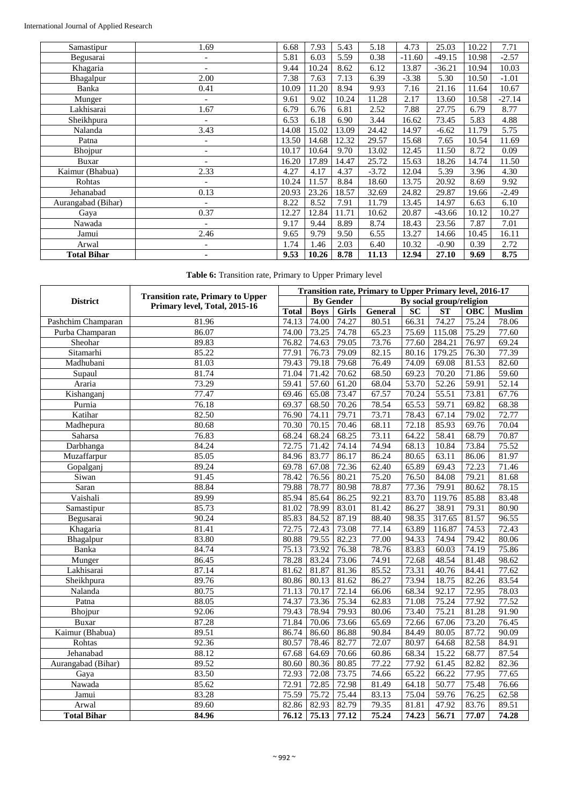| Samastipur         | 1.69                         | 6.68  | 7.93  | 5.43  | 5.18    | 4.73     | 25.03    | 10.22 | 7.71     |
|--------------------|------------------------------|-------|-------|-------|---------|----------|----------|-------|----------|
| Begusarai          | $\overline{a}$               | 5.81  | 6.03  | 5.59  | 0.38    | $-11.60$ | $-49.15$ | 10.98 | $-2.57$  |
| Khagaria           | $\qquad \qquad \blacksquare$ | 9.44  | 10.24 | 8.62  | 6.12    | 13.87    | $-36.21$ | 10.94 | 10.03    |
| Bhagalpur          | 2.00                         | 7.38  | 7.63  | 7.13  | 6.39    | $-3.38$  | 5.30     | 10.50 | $-1.01$  |
| Banka              | 0.41                         | 10.09 | 11.20 | 8.94  | 9.93    | 7.16     | 21.16    | 11.64 | 10.67    |
| Munger             | $\overline{a}$               | 9.61  | 9.02  | 10.24 | 11.28   | 2.17     | 13.60    | 10.58 | $-27.14$ |
| Lakhisarai         | 1.67                         | 6.79  | 6.76  | 6.81  | 2.52    | 7.88     | 27.75    | 6.79  | 8.77     |
| Sheikhpura         | $\qquad \qquad -$            | 6.53  | 6.18  | 6.90  | 3.44    | 16.62    | 73.45    | 5.83  | 4.88     |
| Nalanda            | 3.43                         | 14.08 | 15.02 | 13.09 | 24.42   | 14.97    | $-6.62$  | 11.79 | 5.75     |
| Patna              |                              | 13.50 | 14.68 | 12.32 | 29.57   | 15.68    | 7.65     | 10.54 | 11.69    |
| Bhojpur            | $\qquad \qquad \blacksquare$ | 10.17 | 10.64 | 9.70  | 13.02   | 12.45    | 11.50    | 8.72  | 0.09     |
| Buxar              | $\qquad \qquad \blacksquare$ | 16.20 | 17.89 | 14.47 | 25.72   | 15.63    | 18.26    | 14.74 | 11.50    |
| Kaimur (Bhabua)    | 2.33                         | 4.27  | 4.17  | 4.37  | $-3.72$ | 12.04    | 5.39     | 3.96  | 4.30     |
| Rohtas             | $\overline{a}$               | 10.24 | 11.57 | 8.84  | 18.60   | 13.75    | 20.92    | 8.69  | 9.92     |
| Jehanabad          | 0.13                         | 20.93 | 23.26 | 18.57 | 32.69   | 24.82    | 29.87    | 19.66 | $-2.49$  |
| Aurangabad (Bihar) | $\overline{a}$               | 8.22  | 8.52  | 7.91  | 11.79   | 13.45    | 14.97    | 6.63  | 6.10     |
| Gaya               | 0.37                         | 12.27 | 12.84 | 11.71 | 10.62   | 20.87    | $-43.66$ | 10.12 | 10.27    |
| Nawada             | ٠                            | 9.17  | 9.44  | 8.89  | 8.74    | 18.43    | 23.56    | 7.87  | 7.01     |
| Jamui              | 2.46                         | 9.65  | 9.79  | 9.50  | 6.55    | 13.27    | 14.66    | 10.45 | 16.11    |
| Arwal              | $\qquad \qquad \blacksquare$ | 1.74  | 1.46  | 2.03  | 6.40    | 10.32    | $-0.90$  | 0.39  | 2.72     |
| <b>Total Bihar</b> | ۰                            | 9.53  | 10.26 | 8.78  | 11.13   | 12.94    | 27.10    | 9.69  | 8.75     |

**Table 6:** Transition rate, Primary to Upper Primary level

|                    | <b>Transition rate, Primary to Upper</b> |              | Transition rate, Primary to Upper Primary level, 2016-17 |                  |                   |                 |                          |            |               |  |  |  |
|--------------------|------------------------------------------|--------------|----------------------------------------------------------|------------------|-------------------|-----------------|--------------------------|------------|---------------|--|--|--|
| <b>District</b>    | Primary level, Total, 2015-16            |              |                                                          | <b>By Gender</b> |                   |                 | By social group/religion |            |               |  |  |  |
|                    |                                          | <b>Total</b> | <b>Boys</b>                                              | <b>Girls</b>     | <b>General</b>    | $\overline{SC}$ | <b>ST</b>                | <b>OBC</b> | <b>Muslim</b> |  |  |  |
| Pashchim Champaran | 81.96                                    | 74.13        | 74.00                                                    | 74.27            | 80.51             | 66.31           | 74.27                    | 75.24      | 78.06         |  |  |  |
| Purba Champaran    | 86.07                                    | 74.00        | 73.25                                                    | 74.78            | 65.23             | 75.69           | 115.08                   | 75.29      | 77.60         |  |  |  |
| Sheohar            | 89.83                                    | 76.82        | 74.63                                                    | 79.05            | 73.76             | 77.60           | 284.21                   | 76.97      | 69.24         |  |  |  |
| Sitamarhi          | 85.22                                    | 77.91        | 76.73                                                    | 79.09            | 82.15             | 80.16           | 179.25                   | 76.30      | 77.39         |  |  |  |
| Madhubani          | 81.03                                    | 79.43        | 79.18                                                    | 79.68            | 76.49             | 74.09           | 69.08                    | 81.53      | 82.60         |  |  |  |
| Supaul             | 81.74                                    | 71.04        | 71.42                                                    | 70.62            | 68.50             | 69.23           | 70.20                    | 71.86      | 59.60         |  |  |  |
| Araria             | 73.29                                    | 59.41        | 57.60                                                    | 61.20            | 68.04             | 53.70           | $\overline{52.26}$       | 59.91      | 52.14         |  |  |  |
| Kishanganj         | 77.47                                    | 69.46        | 65.08                                                    | 73.47            | 67.57             | 70.24           | 55.51                    | 73.81      | 67.76         |  |  |  |
| Purnia             | 76.18                                    | 69.37        | 68.50                                                    | 70.26            | 78.54             | 65.53           | 59.71                    | 69.82      | 68.38         |  |  |  |
| Katihar            | 82.50                                    | 76.90        | 74.11                                                    | 79.71            | 73.71             | 78.43           | 67.14                    | 79.02      | 72.77         |  |  |  |
| Madhepura          | 80.68                                    | 70.30        | 70.15                                                    | 70.46            | 68.11             | 72.18           | 85.93                    | 69.76      | 70.04         |  |  |  |
| Saharsa            | 76.83                                    | 68.24        | 68.24                                                    | 68.25            | 73.11             | 64.22           | 58.41                    | 68.79      | 70.87         |  |  |  |
| Darbhanga          | 84.24                                    | 72.75        | 71.42                                                    | 74.14            | 74.94             | 68.13           | 10.84                    | 73.84      | 75.52         |  |  |  |
| Muzaffarpur        | 85.05                                    | 84.96        | 83.77                                                    | 86.17            | 86.24             | 80.65           | 63.11                    | 86.06      | 81.97         |  |  |  |
| Gopalganj          | 89.24                                    | 69.78        | 67.08                                                    | 72.36            | 62.40             | 65.89           | 69.43                    | 72.23      | 71.46         |  |  |  |
| Siwan              | 91.45                                    | 78.42        | 76.56                                                    | 80.21            | 75.20             | 76.50           | 84.08                    | 79.21      | 81.68         |  |  |  |
| Saran              | 88.84                                    | 79.88        | 78.77                                                    | 80.98            | 78.87             | 77.36           | 79.91                    | 80.62      | 78.15         |  |  |  |
| Vaishali           | 89.99                                    | 85.94        | 85.64                                                    | 86.25            | 92.21             | 83.70           | 119.76                   | 85.88      | 83.48         |  |  |  |
| Samastipur         | 85.73                                    | 81.02        | 78.99                                                    | 83.01            | 81.42             | 86.27           | 38.91                    | 79.31      | 80.90         |  |  |  |
| Begusarai          | 90.24                                    | 85.83        | 84.52                                                    | 87.19            | 88.40             | 98.35           | 317.65                   | 81.57      | 96.55         |  |  |  |
| Khagaria           | 81.41                                    | 72.75        | 72.43                                                    | 73.08            | 77.14             | 63.89           | 116.87                   | 74.53      | 72.43         |  |  |  |
| Bhagalpur          | 83.80                                    | 80.88        | 79.55                                                    | 82.23            | $\frac{1}{77.00}$ | 94.33           | 74.94                    | 79.42      | 80.06         |  |  |  |
| Banka              | 84.74                                    | 75.13        | 73.92                                                    | 76.38            | 78.76             | 83.83           | 60.03                    | 74.19      | 75.86         |  |  |  |
| Munger             | 86.45                                    | 78.28        | 83.24                                                    | 73.06            | 74.91             | 72.68           | 48.54                    | 81.48      | 98.62         |  |  |  |
| Lakhisarai         | 87.14                                    | 81.62        | 81.87                                                    | 81.36            | 85.52             | 73.31           | 40.76                    | 84.41      | 77.62         |  |  |  |
| Sheikhpura         | 89.76                                    | 80.86        | 80.13                                                    | 81.62            | 86.27             | 73.94           | 18.75                    | 82.26      | 83.54         |  |  |  |
| Nalanda            | 80.75                                    | 71.13        | 70.17                                                    | 72.14            | 66.06             | 68.34           | 92.17                    | 72.95      | 78.03         |  |  |  |
| Patna              | 88.05                                    | 74.37        | 73.36                                                    | 75.34            | 62.83             | 71.08           | 75.24                    | 77.92      | 77.52         |  |  |  |
| Bhojpur            | 92.06                                    | 79.43        | 78.94                                                    | 79.93            | 80.06             | 73.40           | 75.21                    | 81.28      | 91.90         |  |  |  |
| Buxar              | 87.28                                    | 71.84        | 70.06                                                    | 73.66            | 65.69             | 72.66           | 67.06                    | 73.20      | 76.45         |  |  |  |
| Kaimur (Bhabua)    | 89.51                                    | 86.74        | 86.60                                                    | 86.88            | 90.84             | 84.49           | 80.05                    | 87.72      | 90.09         |  |  |  |
| Rohtas             | 92.36                                    | 80.57        | 78.46                                                    | 82.77            | 72.07             | 80.97           | 64.68                    | 82.58      | 84.91         |  |  |  |
| Jehanabad          | 88.12                                    | 67.68        | 64.69                                                    | 70.66            | 60.86             | 68.34           | 15.22                    | 68.77      | 87.54         |  |  |  |
| Aurangabad (Bihar) | 89.52                                    | 80.60        | 80.36                                                    | 80.85            | 77.22             | 77.92           | 61.45                    | 82.82      | 82.36         |  |  |  |
| Gaya               | 83.50                                    | 72.93        | 72.08                                                    | 73.75            | 74.66             | 65.22           | 66.22                    | 77.95      | 77.65         |  |  |  |
| Nawada             | 85.62                                    | 72.91        | 72.85                                                    | 72.98            | 81.49             | 64.18           | 50.77                    | 75.48      | 76.66         |  |  |  |
| Jamui              | 83.28                                    | 75.59        | 75.72                                                    | 75.44            | 83.13             | 75.04           | 59.76                    | 76.25      | 62.58         |  |  |  |
| Arwal              | 89.60                                    | 82.86        | 82.93                                                    | 82.79            | 79.35             | 81.81           | 47.92                    | 83.76      | 89.51         |  |  |  |
| <b>Total Bihar</b> | 84.96                                    | 76.12        | 75.13                                                    | 77.12            | 75.24             | 74.23           | 56.71                    | 77.07      | 74.28         |  |  |  |